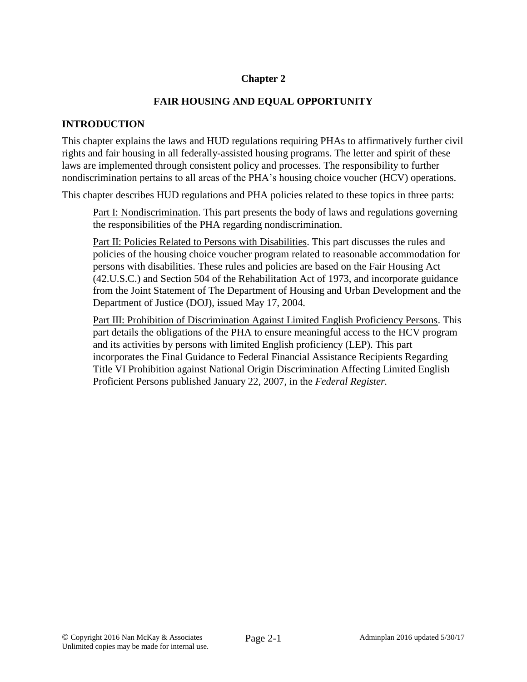### **Chapter 2**

### **FAIR HOUSING AND EQUAL OPPORTUNITY**

#### **INTRODUCTION**

This chapter explains the laws and HUD regulations requiring PHAs to affirmatively further civil rights and fair housing in all federally-assisted housing programs. The letter and spirit of these laws are implemented through consistent policy and processes. The responsibility to further nondiscrimination pertains to all areas of the PHA's housing choice voucher (HCV) operations.

This chapter describes HUD regulations and PHA policies related to these topics in three parts:

Part I: Nondiscrimination. This part presents the body of laws and regulations governing the responsibilities of the PHA regarding nondiscrimination.

Part II: Policies Related to Persons with Disabilities. This part discusses the rules and policies of the housing choice voucher program related to reasonable accommodation for persons with disabilities. These rules and policies are based on the Fair Housing Act (42.U.S.C.) and Section 504 of the Rehabilitation Act of 1973, and incorporate guidance from the Joint Statement of The Department of Housing and Urban Development and the Department of Justice (DOJ), issued May 17, 2004.

Part III: Prohibition of Discrimination Against Limited English Proficiency Persons. This part details the obligations of the PHA to ensure meaningful access to the HCV program and its activities by persons with limited English proficiency (LEP). This part incorporates the Final Guidance to Federal Financial Assistance Recipients Regarding Title VI Prohibition against National Origin Discrimination Affecting Limited English Proficient Persons published January 22, 2007, in the *Federal Register.*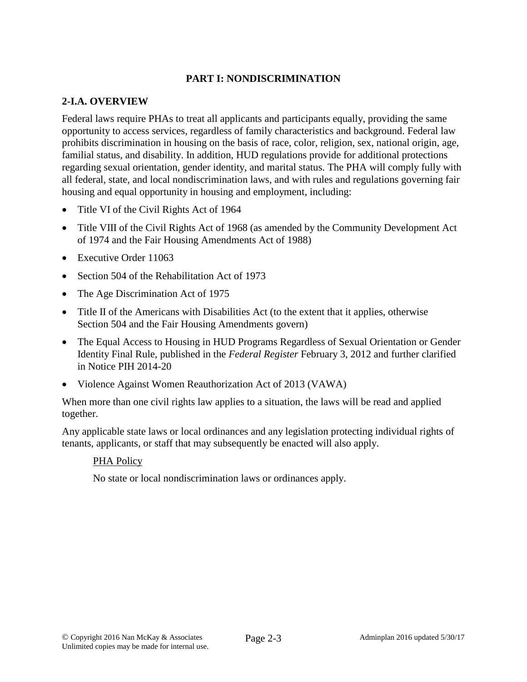### **PART I: NONDISCRIMINATION**

### **2-I.A. OVERVIEW**

Federal laws require PHAs to treat all applicants and participants equally, providing the same opportunity to access services, regardless of family characteristics and background. Federal law prohibits discrimination in housing on the basis of race, color, religion, sex, national origin, age, familial status, and disability. In addition, HUD regulations provide for additional protections regarding sexual orientation, gender identity, and marital status. The PHA will comply fully with all federal, state, and local nondiscrimination laws, and with rules and regulations governing fair housing and equal opportunity in housing and employment, including:

- Title VI of the Civil Rights Act of 1964
- Title VIII of the Civil Rights Act of 1968 (as amended by the Community Development Act of 1974 and the Fair Housing Amendments Act of 1988)
- Executive Order 11063
- Section 504 of the Rehabilitation Act of 1973
- The Age Discrimination Act of 1975
- Title II of the Americans with Disabilities Act (to the extent that it applies, otherwise Section 504 and the Fair Housing Amendments govern)
- The Equal Access to Housing in HUD Programs Regardless of Sexual Orientation or Gender Identity Final Rule, published in the *Federal Register* February 3, 2012 and further clarified in Notice PIH 2014-20
- Violence Against Women Reauthorization Act of 2013 (VAWA)

When more than one civil rights law applies to a situation, the laws will be read and applied together.

Any applicable state laws or local ordinances and any legislation protecting individual rights of tenants, applicants, or staff that may subsequently be enacted will also apply.

### PHA Policy

No state or local nondiscrimination laws or ordinances apply.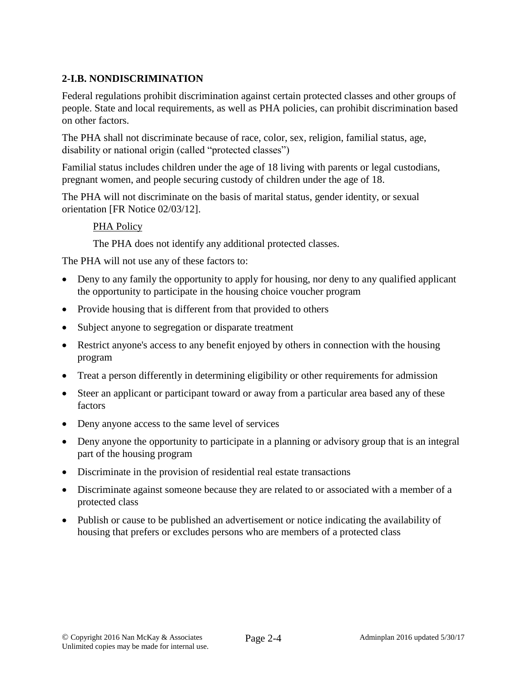## **2-I.B. NONDISCRIMINATION**

Federal regulations prohibit discrimination against certain protected classes and other groups of people. State and local requirements, as well as PHA policies, can prohibit discrimination based on other factors.

The PHA shall not discriminate because of race, color, sex, religion, familial status, age, disability or national origin (called "protected classes")

Familial status includes children under the age of 18 living with parents or legal custodians, pregnant women, and people securing custody of children under the age of 18.

The PHA will not discriminate on the basis of marital status, gender identity, or sexual orientation [FR Notice 02/03/12].

### PHA Policy

The PHA does not identify any additional protected classes.

The PHA will not use any of these factors to:

- Deny to any family the opportunity to apply for housing, nor deny to any qualified applicant the opportunity to participate in the housing choice voucher program
- Provide housing that is different from that provided to others
- Subject anyone to segregation or disparate treatment
- Restrict anyone's access to any benefit enjoyed by others in connection with the housing program
- Treat a person differently in determining eligibility or other requirements for admission
- Steer an applicant or participant toward or away from a particular area based any of these factors
- Deny anyone access to the same level of services
- Deny anyone the opportunity to participate in a planning or advisory group that is an integral part of the housing program
- Discriminate in the provision of residential real estate transactions
- Discriminate against someone because they are related to or associated with a member of a protected class
- Publish or cause to be published an advertisement or notice indicating the availability of housing that prefers or excludes persons who are members of a protected class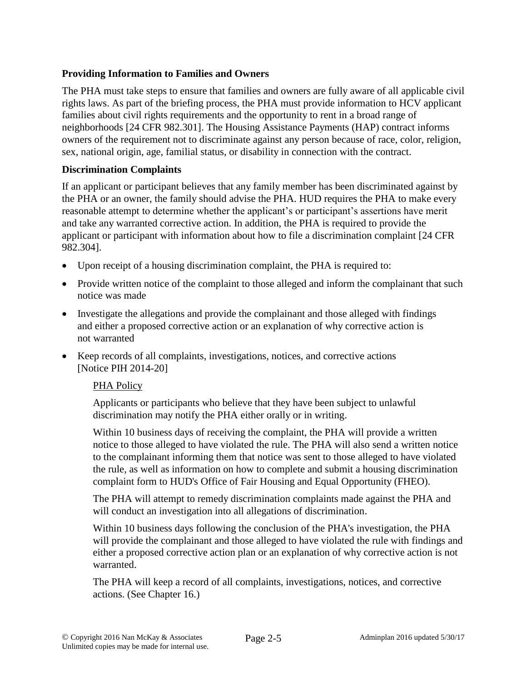### **Providing Information to Families and Owners**

The PHA must take steps to ensure that families and owners are fully aware of all applicable civil rights laws. As part of the briefing process, the PHA must provide information to HCV applicant families about civil rights requirements and the opportunity to rent in a broad range of neighborhoods [24 CFR 982.301]. The Housing Assistance Payments (HAP) contract informs owners of the requirement not to discriminate against any person because of race, color, religion, sex, national origin, age, familial status, or disability in connection with the contract.

### **Discrimination Complaints**

If an applicant or participant believes that any family member has been discriminated against by the PHA or an owner, the family should advise the PHA. HUD requires the PHA to make every reasonable attempt to determine whether the applicant's or participant's assertions have merit and take any warranted corrective action. In addition, the PHA is required to provide the applicant or participant with information about how to file a discrimination complaint [24 CFR 982.304].

- Upon receipt of a housing discrimination complaint, the PHA is required to:
- Provide written notice of the complaint to those alleged and inform the complainant that such notice was made
- Investigate the allegations and provide the complainant and those alleged with findings and either a proposed corrective action or an explanation of why corrective action is not warranted
- Keep records of all complaints, investigations, notices, and corrective actions [Notice PIH 2014-20]

### PHA Policy

Applicants or participants who believe that they have been subject to unlawful discrimination may notify the PHA either orally or in writing.

Within 10 business days of receiving the complaint, the PHA will provide a written notice to those alleged to have violated the rule. The PHA will also send a written notice to the complainant informing them that notice was sent to those alleged to have violated the rule, as well as information on how to complete and submit a housing discrimination complaint form to HUD's Office of Fair Housing and Equal Opportunity (FHEO).

The PHA will attempt to remedy discrimination complaints made against the PHA and will conduct an investigation into all allegations of discrimination.

Within 10 business days following the conclusion of the PHA's investigation, the PHA will provide the complainant and those alleged to have violated the rule with findings and either a proposed corrective action plan or an explanation of why corrective action is not warranted.

The PHA will keep a record of all complaints, investigations, notices, and corrective actions. (See Chapter 16.)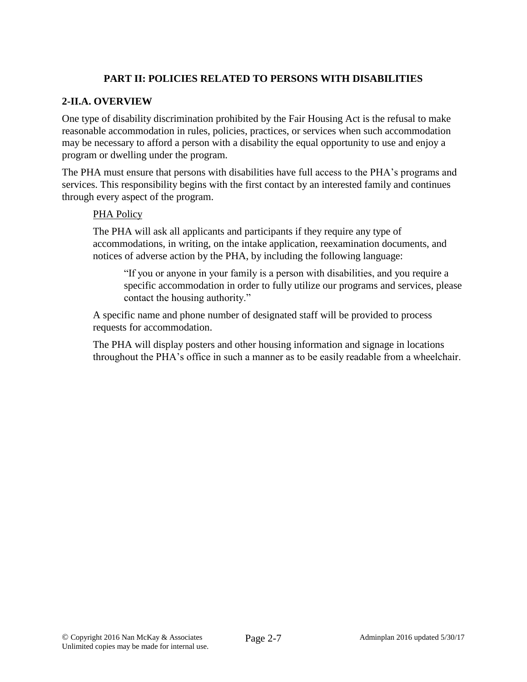## **PART II: POLICIES RELATED TO PERSONS WITH DISABILITIES**

### **2-II.A. OVERVIEW**

One type of disability discrimination prohibited by the Fair Housing Act is the refusal to make reasonable accommodation in rules, policies, practices, or services when such accommodation may be necessary to afford a person with a disability the equal opportunity to use and enjoy a program or dwelling under the program.

The PHA must ensure that persons with disabilities have full access to the PHA's programs and services. This responsibility begins with the first contact by an interested family and continues through every aspect of the program.

### PHA Policy

The PHA will ask all applicants and participants if they require any type of accommodations, in writing, on the intake application, reexamination documents, and notices of adverse action by the PHA, by including the following language:

"If you or anyone in your family is a person with disabilities, and you require a specific accommodation in order to fully utilize our programs and services, please contact the housing authority."

A specific name and phone number of designated staff will be provided to process requests for accommodation.

The PHA will display posters and other housing information and signage in locations throughout the PHA's office in such a manner as to be easily readable from a wheelchair.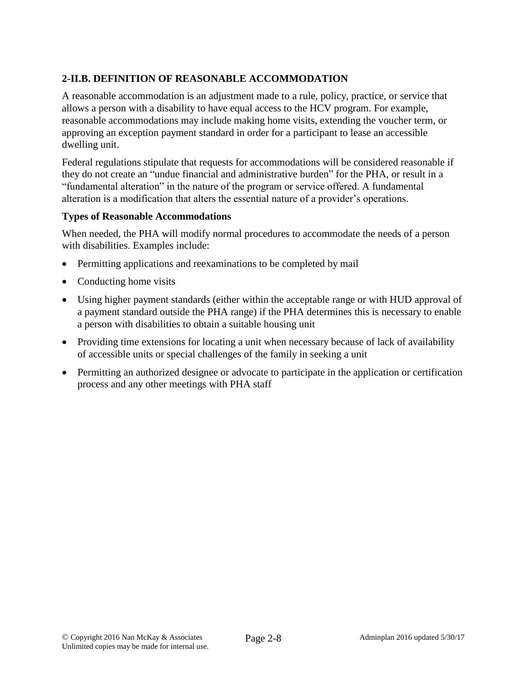# **2-II.B. DEFINITION OF REASONABLE ACCOMMODATION**

A reasonable accommodation is an adjustment made to a rule, policy, practice, or service that allows a person with a disability to have equal access to the HCV program. For example, reasonable accommodations may include making home visits, extending the voucher term, or approving an exception payment standard in order for a participant to lease an accessible dwelling unit.

Federal regulations stipulate that requests for accommodations will be considered reasonable if they do not create an "undue financial and administrative burden" for the PHA, or result in a "fundamental alteration" in the nature of the program or service offered. A fundamental alteration is a modification that alters the essential nature of a provider's operations.

### **Types of Reasonable Accommodations**

When needed, the PHA will modify normal procedures to accommodate the needs of a person with disabilities. Examples include:

- Permitting applications and reexaminations to be completed by mail
- Conducting home visits
- Using higher payment standards (either within the acceptable range or with HUD approval of a payment standard outside the PHA range) if the PHA determines this is necessary to enable a person with disabilities to obtain a suitable housing unit
- Providing time extensions for locating a unit when necessary because of lack of availability of accessible units or special challenges of the family in seeking a unit
- Permitting an authorized designee or advocate to participate in the application or certification process and any other meetings with PHA staff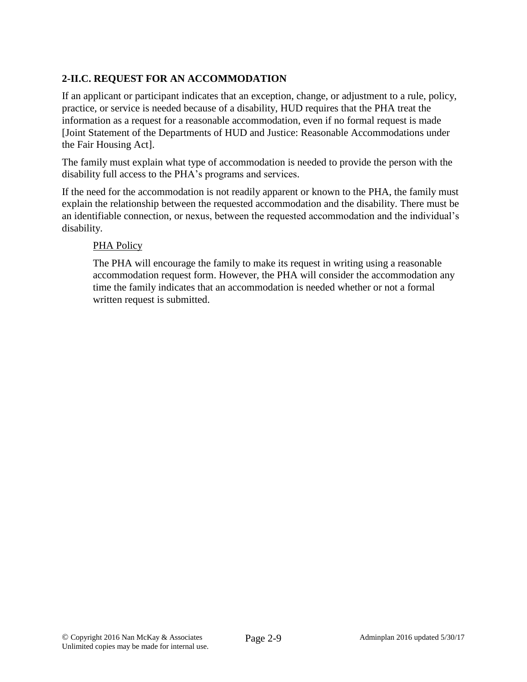# **2-II.C. REQUEST FOR AN ACCOMMODATION**

If an applicant or participant indicates that an exception, change, or adjustment to a rule, policy, practice, or service is needed because of a disability, HUD requires that the PHA treat the information as a request for a reasonable accommodation, even if no formal request is made [Joint Statement of the Departments of HUD and Justice: Reasonable Accommodations under the Fair Housing Act].

The family must explain what type of accommodation is needed to provide the person with the disability full access to the PHA's programs and services.

If the need for the accommodation is not readily apparent or known to the PHA, the family must explain the relationship between the requested accommodation and the disability. There must be an identifiable connection, or nexus, between the requested accommodation and the individual's disability.

### PHA Policy

The PHA will encourage the family to make its request in writing using a reasonable accommodation request form. However, the PHA will consider the accommodation any time the family indicates that an accommodation is needed whether or not a formal written request is submitted.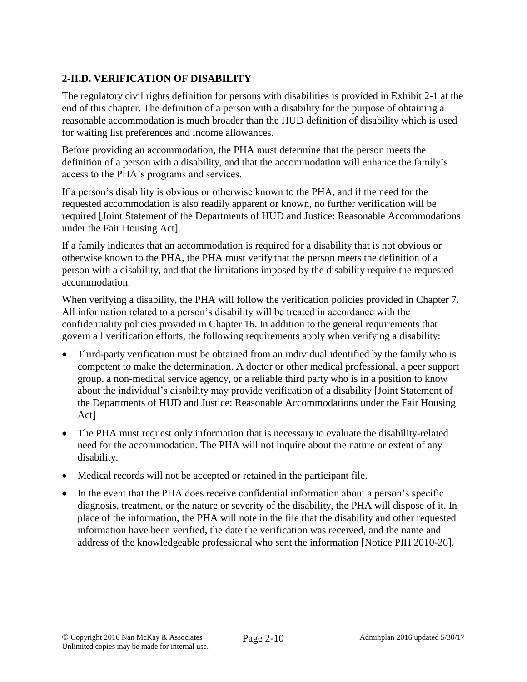# **2-II.D. VERIFICATION OF DISABILITY**

The regulatory civil rights definition for persons with disabilities is provided in Exhibit 2-1 at the end of this chapter. The definition of a person with a disability for the purpose of obtaining a reasonable accommodation is much broader than the HUD definition of disability which is used for waiting list preferences and income allowances.

Before providing an accommodation, the PHA must determine that the person meets the definition of a person with a disability, and that the accommodation will enhance the family's access to the PHA's programs and services.

If a person's disability is obvious or otherwise known to the PHA, and if the need for the requested accommodation is also readily apparent or known, no further verification will be required [Joint Statement of the Departments of HUD and Justice: Reasonable Accommodations under the Fair Housing Act].

If a family indicates that an accommodation is required for a disability that is not obvious or otherwise known to the PHA, the PHA must verify that the person meets the definition of a person with a disability, and that the limitations imposed by the disability require the requested accommodation.

When verifying a disability, the PHA will follow the verification policies provided in Chapter 7. All information related to a person's disability will be treated in accordance with the confidentiality policies provided in Chapter 16. In addition to the general requirements that govern all verification efforts, the following requirements apply when verifying a disability:

- Third-party verification must be obtained from an individual identified by the family who is competent to make the determination. A doctor or other medical professional, a peer support group, a non-medical service agency, or a reliable third party who is in a position to know about the individual's disability may provide verification of a disability [Joint Statement of the Departments of HUD and Justice: Reasonable Accommodations under the Fair Housing Act]
- The PHA must request only information that is necessary to evaluate the disability-related need for the accommodation. The PHA will not inquire about the nature or extent of any disability.
- Medical records will not be accepted or retained in the participant file.
- In the event that the PHA does receive confidential information about a person's specific diagnosis, treatment, or the nature or severity of the disability, the PHA will dispose of it. In place of the information, the PHA will note in the file that the disability and other requested information have been verified, the date the verification was received, and the name and address of the knowledgeable professional who sent the information [Notice PIH 2010-26].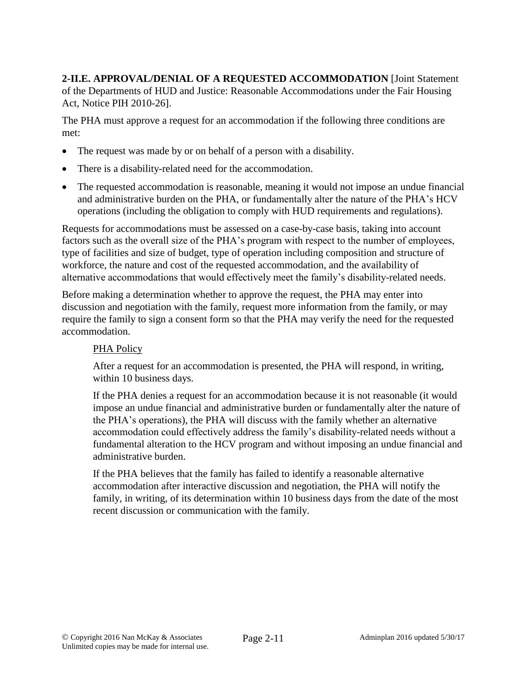**2-II.E. APPROVAL/DENIAL OF A REQUESTED ACCOMMODATION** [Joint Statement of the Departments of HUD and Justice: Reasonable Accommodations under the Fair Housing Act, Notice PIH 2010-26].

The PHA must approve a request for an accommodation if the following three conditions are met:

- The request was made by or on behalf of a person with a disability.
- There is a disability-related need for the accommodation.
- The requested accommodation is reasonable, meaning it would not impose an undue financial and administrative burden on the PHA, or fundamentally alter the nature of the PHA's HCV operations (including the obligation to comply with HUD requirements and regulations).

Requests for accommodations must be assessed on a case-by-case basis, taking into account factors such as the overall size of the PHA's program with respect to the number of employees, type of facilities and size of budget, type of operation including composition and structure of workforce, the nature and cost of the requested accommodation, and the availability of alternative accommodations that would effectively meet the family's disability-related needs.

Before making a determination whether to approve the request, the PHA may enter into discussion and negotiation with the family, request more information from the family, or may require the family to sign a consent form so that the PHA may verify the need for the requested accommodation.

#### PHA Policy

After a request for an accommodation is presented, the PHA will respond, in writing, within 10 business days.

If the PHA denies a request for an accommodation because it is not reasonable (it would impose an undue financial and administrative burden or fundamentally alter the nature of the PHA's operations), the PHA will discuss with the family whether an alternative accommodation could effectively address the family's disability-related needs without a fundamental alteration to the HCV program and without imposing an undue financial and administrative burden.

If the PHA believes that the family has failed to identify a reasonable alternative accommodation after interactive discussion and negotiation, the PHA will notify the family, in writing, of its determination within 10 business days from the date of the most recent discussion or communication with the family.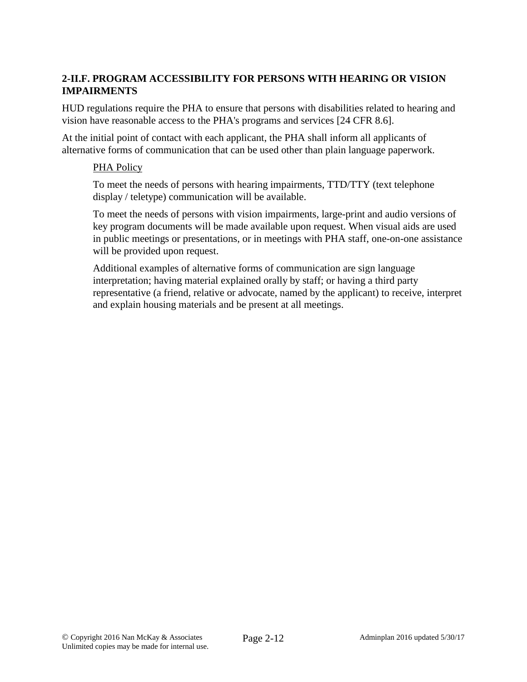## **2-II.F. PROGRAM ACCESSIBILITY FOR PERSONS WITH HEARING OR VISION IMPAIRMENTS**

HUD regulations require the PHA to ensure that persons with disabilities related to hearing and vision have reasonable access to the PHA's programs and services [24 CFR 8.6].

At the initial point of contact with each applicant, the PHA shall inform all applicants of alternative forms of communication that can be used other than plain language paperwork.

#### PHA Policy

To meet the needs of persons with hearing impairments, TTD/TTY (text telephone display / teletype) communication will be available.

To meet the needs of persons with vision impairments, large-print and audio versions of key program documents will be made available upon request. When visual aids are used in public meetings or presentations, or in meetings with PHA staff, one-on-one assistance will be provided upon request.

Additional examples of alternative forms of communication are sign language interpretation; having material explained orally by staff; or having a third party representative (a friend, relative or advocate, named by the applicant) to receive, interpret and explain housing materials and be present at all meetings.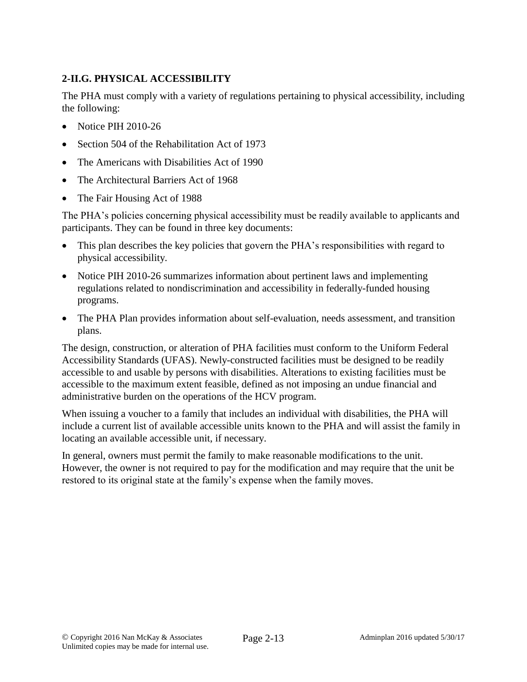# **2-II.G. PHYSICAL ACCESSIBILITY**

The PHA must comply with a variety of regulations pertaining to physical accessibility, including the following:

- Notice PIH 2010-26
- Section 504 of the Rehabilitation Act of 1973
- The Americans with Disabilities Act of 1990
- The Architectural Barriers Act of 1968
- The Fair Housing Act of 1988

The PHA's policies concerning physical accessibility must be readily available to applicants and participants. They can be found in three key documents:

- This plan describes the key policies that govern the PHA's responsibilities with regard to physical accessibility.
- Notice PIH 2010-26 summarizes information about pertinent laws and implementing regulations related to nondiscrimination and accessibility in federally-funded housing programs.
- The PHA Plan provides information about self-evaluation, needs assessment, and transition plans.

The design, construction, or alteration of PHA facilities must conform to the Uniform Federal Accessibility Standards (UFAS). Newly-constructed facilities must be designed to be readily accessible to and usable by persons with disabilities. Alterations to existing facilities must be accessible to the maximum extent feasible, defined as not imposing an undue financial and administrative burden on the operations of the HCV program.

When issuing a voucher to a family that includes an individual with disabilities, the PHA will include a current list of available accessible units known to the PHA and will assist the family in locating an available accessible unit, if necessary.

In general, owners must permit the family to make reasonable modifications to the unit. However, the owner is not required to pay for the modification and may require that the unit be restored to its original state at the family's expense when the family moves.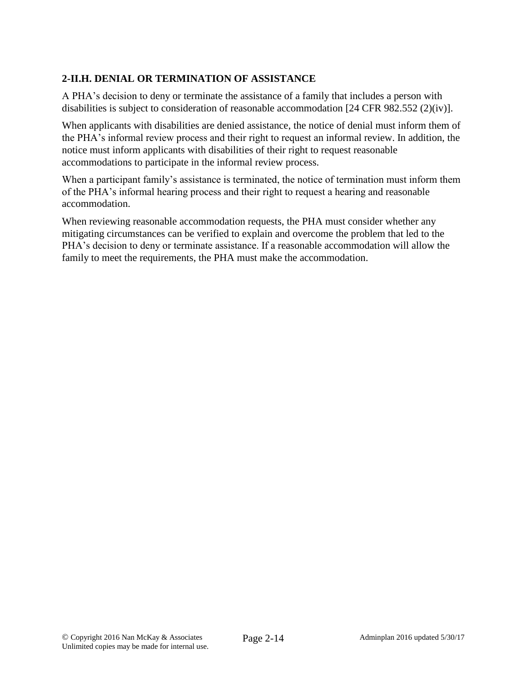# **2-II.H. DENIAL OR TERMINATION OF ASSISTANCE**

A PHA's decision to deny or terminate the assistance of a family that includes a person with disabilities is subject to consideration of reasonable accommodation [24 CFR 982.552 (2)(iv)].

When applicants with disabilities are denied assistance, the notice of denial must inform them of the PHA's informal review process and their right to request an informal review. In addition, the notice must inform applicants with disabilities of their right to request reasonable accommodations to participate in the informal review process.

When a participant family's assistance is terminated, the notice of termination must inform them of the PHA's informal hearing process and their right to request a hearing and reasonable accommodation.

When reviewing reasonable accommodation requests, the PHA must consider whether any mitigating circumstances can be verified to explain and overcome the problem that led to the PHA's decision to deny or terminate assistance. If a reasonable accommodation will allow the family to meet the requirements, the PHA must make the accommodation.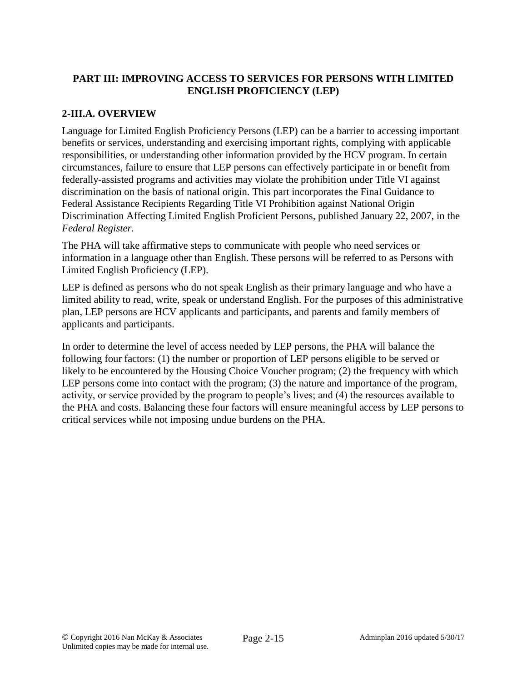## **PART III: IMPROVING ACCESS TO SERVICES FOR PERSONS WITH LIMITED ENGLISH PROFICIENCY (LEP)**

## **2-III.A. OVERVIEW**

Language for Limited English Proficiency Persons (LEP) can be a barrier to accessing important benefits or services, understanding and exercising important rights, complying with applicable responsibilities, or understanding other information provided by the HCV program. In certain circumstances, failure to ensure that LEP persons can effectively participate in or benefit from federally-assisted programs and activities may violate the prohibition under Title VI against discrimination on the basis of national origin. This part incorporates the Final Guidance to Federal Assistance Recipients Regarding Title VI Prohibition against National Origin Discrimination Affecting Limited English Proficient Persons, published January 22, 2007, in the *Federal Register.*

The PHA will take affirmative steps to communicate with people who need services or information in a language other than English. These persons will be referred to as Persons with Limited English Proficiency (LEP).

LEP is defined as persons who do not speak English as their primary language and who have a limited ability to read, write, speak or understand English. For the purposes of this administrative plan, LEP persons are HCV applicants and participants, and parents and family members of applicants and participants.

In order to determine the level of access needed by LEP persons, the PHA will balance the following four factors: (1) the number or proportion of LEP persons eligible to be served or likely to be encountered by the Housing Choice Voucher program; (2) the frequency with which LEP persons come into contact with the program; (3) the nature and importance of the program, activity, or service provided by the program to people's lives; and (4) the resources available to the PHA and costs. Balancing these four factors will ensure meaningful access by LEP persons to critical services while not imposing undue burdens on the PHA.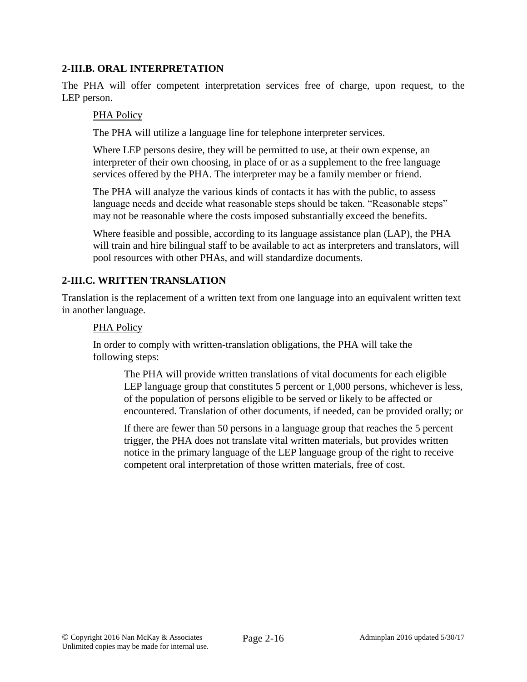### **2-III.B. ORAL INTERPRETATION**

The PHA will offer competent interpretation services free of charge, upon request, to the LEP person.

### PHA Policy

The PHA will utilize a language line for telephone interpreter services.

Where LEP persons desire, they will be permitted to use, at their own expense, an interpreter of their own choosing, in place of or as a supplement to the free language services offered by the PHA. The interpreter may be a family member or friend.

The PHA will analyze the various kinds of contacts it has with the public, to assess language needs and decide what reasonable steps should be taken. "Reasonable steps" may not be reasonable where the costs imposed substantially exceed the benefits.

Where feasible and possible, according to its language assistance plan (LAP), the PHA will train and hire bilingual staff to be available to act as interpreters and translators, will pool resources with other PHAs, and will standardize documents.

### **2-III.C. WRITTEN TRANSLATION**

Translation is the replacement of a written text from one language into an equivalent written text in another language.

#### PHA Policy

In order to comply with written-translation obligations, the PHA will take the following steps:

The PHA will provide written translations of vital documents for each eligible LEP language group that constitutes 5 percent or 1,000 persons, whichever is less, of the population of persons eligible to be served or likely to be affected or encountered. Translation of other documents, if needed, can be provided orally; or

If there are fewer than 50 persons in a language group that reaches the 5 percent trigger, the PHA does not translate vital written materials, but provides written notice in the primary language of the LEP language group of the right to receive competent oral interpretation of those written materials, free of cost.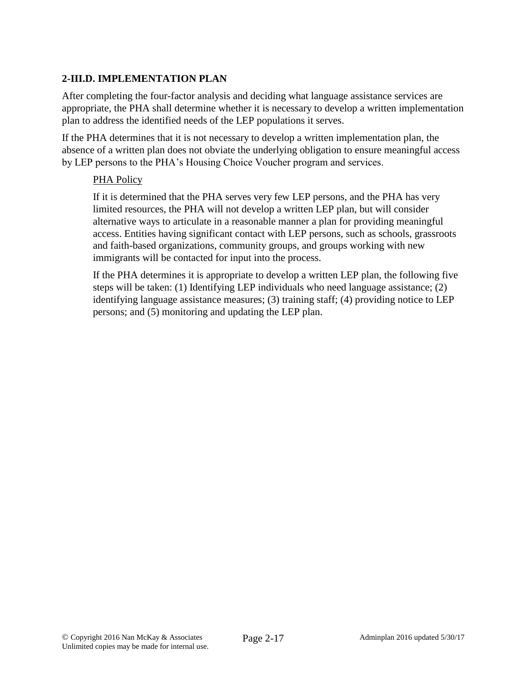## **2-III.D. IMPLEMENTATION PLAN**

After completing the four-factor analysis and deciding what language assistance services are appropriate, the PHA shall determine whether it is necessary to develop a written implementation plan to address the identified needs of the LEP populations it serves.

If the PHA determines that it is not necessary to develop a written implementation plan, the absence of a written plan does not obviate the underlying obligation to ensure meaningful access by LEP persons to the PHA's Housing Choice Voucher program and services.

### PHA Policy

If it is determined that the PHA serves very few LEP persons, and the PHA has very limited resources, the PHA will not develop a written LEP plan, but will consider alternative ways to articulate in a reasonable manner a plan for providing meaningful access. Entities having significant contact with LEP persons, such as schools, grassroots and faith-based organizations, community groups, and groups working with new immigrants will be contacted for input into the process.

If the PHA determines it is appropriate to develop a written LEP plan, the following five steps will be taken: (1) Identifying LEP individuals who need language assistance; (2) identifying language assistance measures; (3) training staff; (4) providing notice to LEP persons; and (5) monitoring and updating the LEP plan.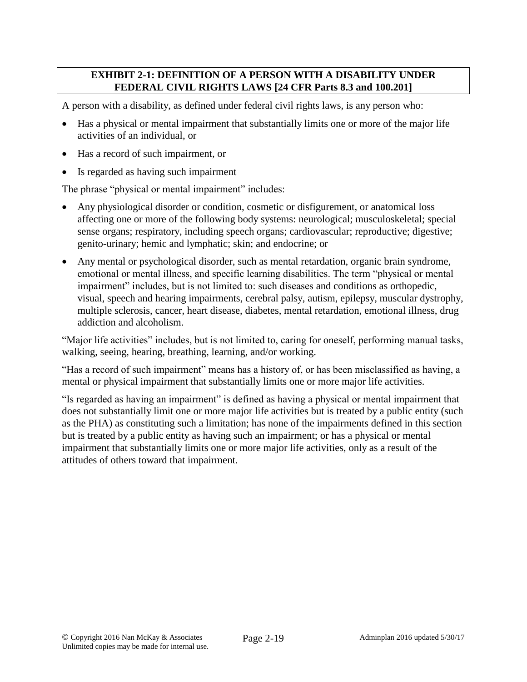### **EXHIBIT 2-1: DEFINITION OF A PERSON WITH A DISABILITY UNDER FEDERAL CIVIL RIGHTS LAWS [24 CFR Parts 8.3 and 100.201]**

A person with a disability, as defined under federal civil rights laws, is any person who:

- Has a physical or mental impairment that substantially limits one or more of the major life activities of an individual, or
- Has a record of such impairment, or
- Is regarded as having such impairment

The phrase "physical or mental impairment" includes:

- Any physiological disorder or condition, cosmetic or disfigurement, or anatomical loss affecting one or more of the following body systems: neurological; musculoskeletal; special sense organs; respiratory, including speech organs; cardiovascular; reproductive; digestive; genito-urinary; hemic and lymphatic; skin; and endocrine; or
- Any mental or psychological disorder, such as mental retardation, organic brain syndrome, emotional or mental illness, and specific learning disabilities. The term "physical or mental impairment" includes, but is not limited to: such diseases and conditions as orthopedic, visual, speech and hearing impairments, cerebral palsy, autism, epilepsy, muscular dystrophy, multiple sclerosis, cancer, heart disease, diabetes, mental retardation, emotional illness, drug addiction and alcoholism.

"Major life activities" includes, but is not limited to, caring for oneself, performing manual tasks, walking, seeing, hearing, breathing, learning, and/or working.

"Has a record of such impairment" means has a history of, or has been misclassified as having, a mental or physical impairment that substantially limits one or more major life activities.

"Is regarded as having an impairment" is defined as having a physical or mental impairment that does not substantially limit one or more major life activities but is treated by a public entity (such as the PHA) as constituting such a limitation; has none of the impairments defined in this section but is treated by a public entity as having such an impairment; or has a physical or mental impairment that substantially limits one or more major life activities, only as a result of the attitudes of others toward that impairment.